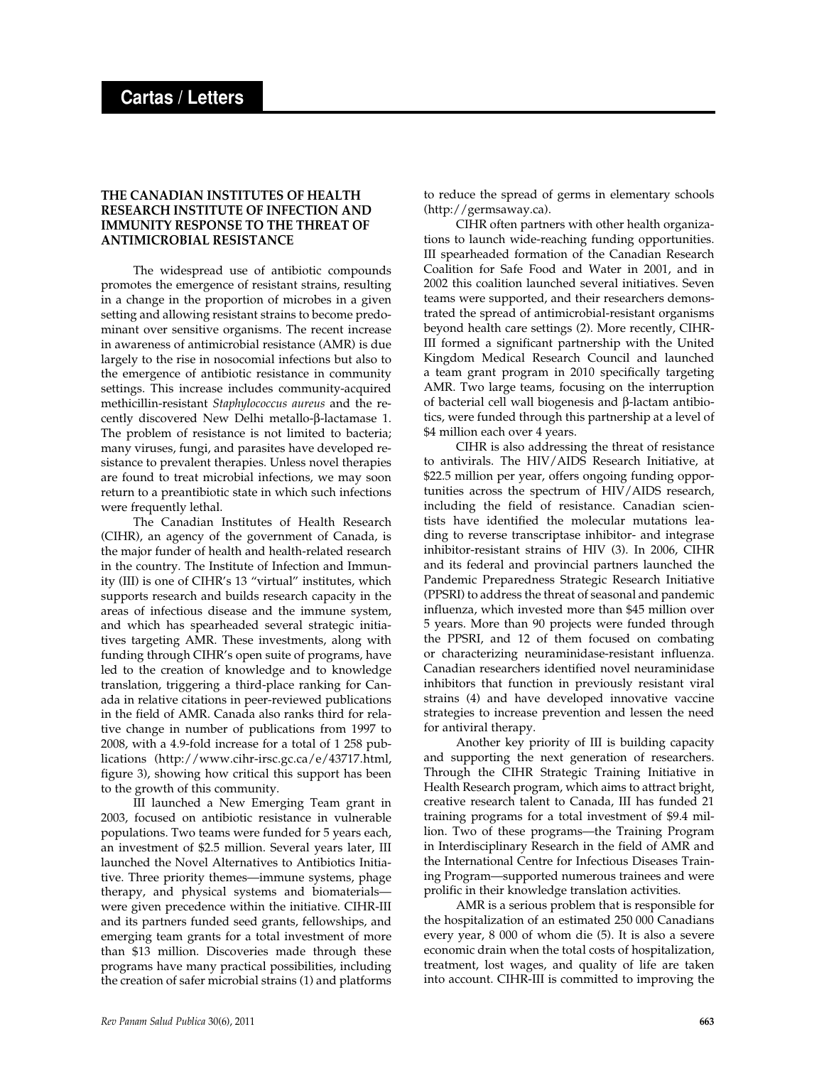## **THE CANADIAN INSTITUTES OF HEALTH RESEARCH INSTITUTE OF INFECTION AND IMMUNITY RESPONSE TO THE THREAT OF ANTIMICROBIAL RESISTANCE**

The widespread use of antibiotic compounds promotes the emergence of resistant strains, resulting in a change in the proportion of microbes in a given setting and allowing resistant strains to become predominant over sensitive organisms. The recent increase in awareness of antimicrobial resistance (AMR) is due largely to the rise in nosocomial infections but also to the emergence of antibiotic resistance in community settings. This increase includes community-acquired methicillin-resistant *Staphylococcus aureus* and the recently discovered New Delhi metallo- $\beta$ -lactamase 1. The problem of resistance is not limited to bacteria; many viruses, fungi, and parasites have developed resistance to prevalent therapies. Unless novel therapies are found to treat microbial infections, we may soon return to a preantibiotic state in which such infections were frequently lethal.

The Canadian Institutes of Health Research (CIHR), an agency of the government of Canada, is the major funder of health and health-related research in the country. The Institute of Infection and Immunity (III) is one of CIHR's 13 "virtual" institutes, which supports research and builds research capacity in the areas of infectious disease and the immune system, and which has spearheaded several strategic initiatives targeting AMR. These investments, along with funding through CIHR's open suite of programs, have led to the creation of knowledge and to knowledge translation, triggering a third-place ranking for Canada in relative citations in peer-reviewed publications in the field of AMR. Canada also ranks third for relative change in number of publications from 1997 to 2008, with a 4.9-fold increase for a total of 1 258 publications (http://www.cihr-irsc.gc.ca/e/43717.html, figure 3), showing how critical this support has been to the growth of this community.

III launched a New Emerging Team grant in 2003, focused on antibiotic resistance in vulnerable populations. Two teams were funded for 5 years each, an investment of \$2.5 million. Several years later, III launched the Novel Alternatives to Antibiotics Initiative. Three priority themes—immune systems, phage therapy, and physical systems and biomaterials were given precedence within the initiative. CIHR-III and its partners funded seed grants, fellowships, and emerging team grants for a total investment of more than \$13 million. Discoveries made through these programs have many practical possibilities, including the creation of safer microbial strains (1) and platforms

to reduce the spread of germs in elementary schools (http://germsaway.ca).

CIHR often partners with other health organizations to launch wide-reaching funding opportunities. III spearheaded formation of the Canadian Research Coalition for Safe Food and Water in 2001, and in 2002 this coalition launched several initiatives. Seven teams were supported, and their researchers demonstrated the spread of antimicrobial-resistant organisms beyond health care settings (2). More recently, CIHR-III formed a significant partnership with the United Kingdom Medical Research Council and launched a team grant program in 2010 specifically targeting AMR. Two large teams, focusing on the interruption of bacterial cell wall biogenesis and  $\beta$ -lactam antibiotics, were funded through this partnership at a level of \$4 million each over 4 years.

CIHR is also addressing the threat of resistance to antivirals. The HIV/AIDS Research Initiative, at \$22.5 million per year, offers ongoing funding opportunities across the spectrum of HIV/AIDS research, including the field of resistance. Canadian scientists have identified the molecular mutations leading to reverse transcriptase inhibitor- and integrase inhibitor-resistant strains of HIV (3). In 2006, CIHR and its federal and provincial partners launched the Pandemic Preparedness Strategic Research Initiative (PPSRI) to address the threat of seasonal and pandemic influenza, which invested more than \$45 million over 5 years. More than 90 projects were funded through the PPSRI, and 12 of them focused on combating or characterizing neuraminidase-resistant influenza. Canadian researchers identified novel neuraminidase inhibitors that function in previously resistant viral strains (4) and have developed innovative vaccine strategies to increase prevention and lessen the need for antiviral therapy.

Another key priority of III is building capacity and supporting the next generation of researchers. Through the CIHR Strategic Training Initiative in Health Research program, which aims to attract bright, creative research talent to Canada, III has funded 21 training programs for a total investment of \$9.4 million. Two of these programs—the Training Program in Interdisciplinary Research in the field of AMR and the International Centre for Infectious Diseases Training Program—supported numerous trainees and were prolific in their knowledge translation activities.

AMR is a serious problem that is responsible for the hospitalization of an estimated 250 000 Canadians every year, 8 000 of whom die (5). It is also a severe economic drain when the total costs of hospitalization, treatment, lost wages, and quality of life are taken into account. CIHR-III is committed to improving the